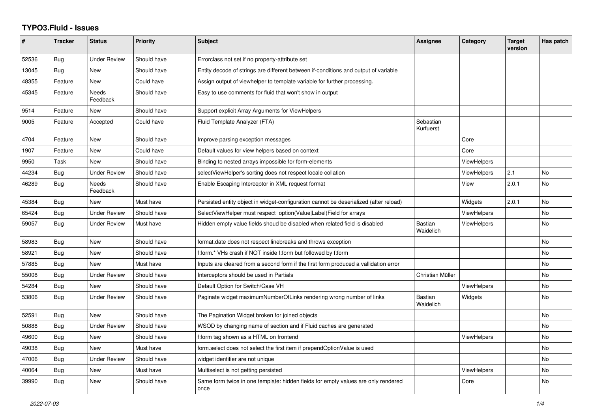## **TYPO3.Fluid - Issues**

| #     | <b>Tracker</b> | <b>Status</b>            | <b>Priority</b> | <b>Subject</b>                                                                            | Assignee               | Category           | <b>Target</b><br>version | Has patch |
|-------|----------------|--------------------------|-----------------|-------------------------------------------------------------------------------------------|------------------------|--------------------|--------------------------|-----------|
| 52536 | Bug            | <b>Under Review</b>      | Should have     | Errorclass not set if no property-attribute set                                           |                        |                    |                          |           |
| 13045 | <b>Bug</b>     | <b>New</b>               | Should have     | Entity decode of strings are different between if-conditions and output of variable       |                        |                    |                          |           |
| 48355 | Feature        | New                      | Could have      | Assign output of viewhelper to template variable for further processing.                  |                        |                    |                          |           |
| 45345 | Feature        | <b>Needs</b><br>Feedback | Should have     | Easy to use comments for fluid that won't show in output                                  |                        |                    |                          |           |
| 9514  | Feature        | <b>New</b>               | Should have     | Support explicit Array Arguments for ViewHelpers                                          |                        |                    |                          |           |
| 9005  | Feature        | Accepted                 | Could have      | Fluid Template Analyzer (FTA)                                                             | Sebastian<br>Kurfuerst |                    |                          |           |
| 4704  | Feature        | New                      | Should have     | Improve parsing exception messages                                                        |                        | Core               |                          |           |
| 1907  | Feature        | New                      | Could have      | Default values for view helpers based on context                                          |                        | Core               |                          |           |
| 9950  | Task           | New                      | Should have     | Binding to nested arrays impossible for form-elements                                     |                        | <b>ViewHelpers</b> |                          |           |
| 44234 | Bug            | <b>Under Review</b>      | Should have     | selectViewHelper's sorting does not respect locale collation                              |                        | <b>ViewHelpers</b> | 2.1                      | No        |
| 46289 | <b>Bug</b>     | <b>Needs</b><br>Feedback | Should have     | Enable Escaping Interceptor in XML request format                                         |                        | View               | 2.0.1                    | <b>No</b> |
| 45384 | <b>Bug</b>     | New                      | Must have       | Persisted entity object in widget-configuration cannot be deserialized (after reload)     |                        | Widgets            | 2.0.1                    | No        |
| 65424 | Bug            | Under Review             | Should have     | SelectViewHelper must respect option(Value Label)Field for arrays                         |                        | <b>ViewHelpers</b> |                          | No        |
| 59057 | Bug            | Under Review             | Must have       | Hidden empty value fields shoud be disabled when related field is disabled                | Bastian<br>Waidelich   | <b>ViewHelpers</b> |                          | <b>No</b> |
| 58983 | <b>Bug</b>     | New                      | Should have     | format.date does not respect linebreaks and throws exception                              |                        |                    |                          | <b>No</b> |
| 58921 | Bug            | New                      | Should have     | f:form.* VHs crash if NOT inside f:form but followed by f:form                            |                        |                    |                          | No        |
| 57885 | <b>Bug</b>     | New                      | Must have       | Inputs are cleared from a second form if the first form produced a vallidation error      |                        |                    |                          | No        |
| 55008 | <b>Bug</b>     | Under Review             | Should have     | Interceptors should be used in Partials                                                   | Christian Müller       |                    |                          | <b>No</b> |
| 54284 | Bug            | <b>New</b>               | Should have     | Default Option for Switch/Case VH                                                         |                        | <b>ViewHelpers</b> |                          | <b>No</b> |
| 53806 | Bug            | <b>Under Review</b>      | Should have     | Paginate widget maximumNumberOfLinks rendering wrong number of links                      | Bastian<br>Waidelich   | Widgets            |                          | No        |
| 52591 | <b>Bug</b>     | <b>New</b>               | Should have     | The Pagination Widget broken for joined objects                                           |                        |                    |                          | <b>No</b> |
| 50888 | Bug            | <b>Under Review</b>      | Should have     | WSOD by changing name of section and if Fluid caches are generated                        |                        |                    |                          | <b>No</b> |
| 49600 | Bug            | New                      | Should have     | f:form tag shown as a HTML on frontend                                                    |                        | ViewHelpers        |                          | <b>No</b> |
| 49038 | Bug            | <b>New</b>               | Must have       | form.select does not select the first item if prependOptionValue is used                  |                        |                    |                          | <b>No</b> |
| 47006 | <b>Bug</b>     | <b>Under Review</b>      | Should have     | widget identifier are not unique                                                          |                        |                    |                          | <b>No</b> |
| 40064 | Bug            | <b>New</b>               | Must have       | Multiselect is not getting persisted                                                      |                        | <b>ViewHelpers</b> |                          | <b>No</b> |
| 39990 | <b>Bug</b>     | New                      | Should have     | Same form twice in one template: hidden fields for empty values are only rendered<br>once |                        | Core               |                          | <b>No</b> |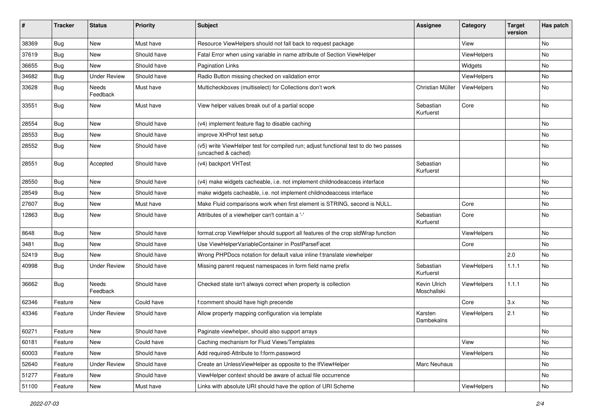| #     | <b>Tracker</b> | <b>Status</b>       | <b>Priority</b> | Subject                                                                                                     | <b>Assignee</b>             | Category    | <b>Target</b><br>version | Has patch |
|-------|----------------|---------------------|-----------------|-------------------------------------------------------------------------------------------------------------|-----------------------------|-------------|--------------------------|-----------|
| 38369 | Bug            | New                 | Must have       | Resource ViewHelpers should not fall back to request package                                                |                             | View        |                          | <b>No</b> |
| 37619 | Bug            | New                 | Should have     | Fatal Error when using variable in name attribute of Section ViewHelper                                     |                             | ViewHelpers |                          | No        |
| 36655 | Bug            | New                 | Should have     | <b>Pagination Links</b>                                                                                     |                             | Widgets     |                          | No        |
| 34682 | Bug            | <b>Under Review</b> | Should have     | Radio Button missing checked on validation error                                                            |                             | ViewHelpers |                          | No        |
| 33628 | Bug            | Needs<br>Feedback   | Must have       | Multicheckboxes (multiselect) for Collections don't work                                                    | Christian Müller            | ViewHelpers |                          | No        |
| 33551 | Bug            | New                 | Must have       | View helper values break out of a partial scope                                                             | Sebastian<br>Kurfuerst      | Core        |                          | No        |
| 28554 | Bug            | New                 | Should have     | (v4) implement feature flag to disable caching                                                              |                             |             |                          | No        |
| 28553 | Bug            | New                 | Should have     | improve XHProf test setup                                                                                   |                             |             |                          | No        |
| 28552 | Bug            | New                 | Should have     | (v5) write ViewHelper test for compiled run; adjust functional test to do two passes<br>(uncached & cached) |                             |             |                          | No        |
| 28551 | Bug            | Accepted            | Should have     | (v4) backport VHTest                                                                                        | Sebastian<br>Kurfuerst      |             |                          | No        |
| 28550 | Bug            | New                 | Should have     | (v4) make widgets cacheable, i.e. not implement childnodeaccess interface                                   |                             |             |                          | No        |
| 28549 | Bug            | New                 | Should have     | make widgets cacheable, i.e. not implement childnodeaccess interface                                        |                             |             |                          | No        |
| 27607 | Bug            | New                 | Must have       | Make Fluid comparisons work when first element is STRING, second is NULL.                                   |                             | Core        |                          | No        |
| 12863 | Bug            | New                 | Should have     | Attributes of a viewhelper can't contain a '-'                                                              | Sebastian<br>Kurfuerst      | Core        |                          | No        |
| 8648  | Bug            | New                 | Should have     | format.crop ViewHelper should support all features of the crop stdWrap function                             |                             | ViewHelpers |                          | <b>No</b> |
| 3481  | Bug            | New                 | Should have     | Use ViewHelperVariableContainer in PostParseFacet                                                           |                             | Core        |                          | No        |
| 52419 | Bug            | New                 | Should have     | Wrong PHPDocs notation for default value inline f:translate viewhelper                                      |                             |             | 2.0                      | <b>No</b> |
| 40998 | Bug            | <b>Under Review</b> | Should have     | Missing parent request namespaces in form field name prefix                                                 | Sebastian<br>Kurfuerst      | ViewHelpers | 1.1.1                    | No        |
| 36662 | Bug            | Needs<br>Feedback   | Should have     | Checked state isn't always correct when property is collection                                              | Kevin Ulrich<br>Moschallski | ViewHelpers | 1.1.1                    | No        |
| 62346 | Feature        | New                 | Could have      | f:comment should have high precende                                                                         |                             | Core        | 3.x                      | No        |
| 43346 | Feature        | <b>Under Review</b> | Should have     | Allow property mapping configuration via template                                                           | Karsten<br>Dambekalns       | ViewHelpers | 2.1                      | <b>No</b> |
| 60271 | Feature        | New                 | Should have     | Paginate viewhelper, should also support arrays                                                             |                             |             |                          | No        |
| 60181 | Feature        | New                 | Could have      | Caching mechanism for Fluid Views/Templates                                                                 |                             | View        |                          | No        |
| 60003 | Feature        | New                 | Should have     | Add required-Attribute to f:form.password                                                                   |                             | ViewHelpers |                          | No        |
| 52640 | Feature        | <b>Under Review</b> | Should have     | Create an UnlessViewHelper as opposite to the IfViewHelper                                                  | Marc Neuhaus                |             |                          | No        |
| 51277 | Feature        | New                 | Should have     | ViewHelper context should be aware of actual file occurrence                                                |                             |             |                          | No        |
| 51100 | Feature        | New                 | Must have       | Links with absolute URI should have the option of URI Scheme                                                |                             | ViewHelpers |                          | No        |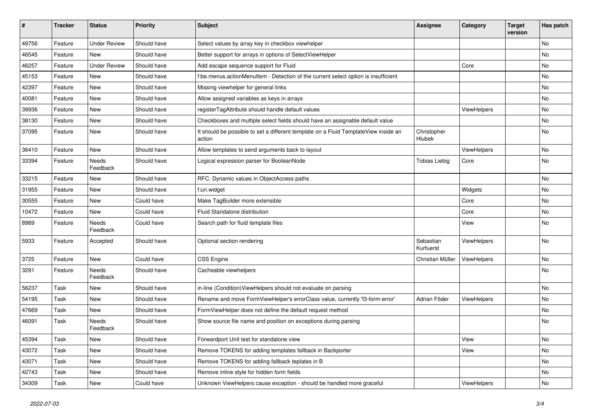| #     | <b>Tracker</b> | <b>Status</b>       | <b>Priority</b> | <b>Subject</b>                                                                                | <b>Assignee</b>        | Category           | <b>Target</b><br>version | Has patch |
|-------|----------------|---------------------|-----------------|-----------------------------------------------------------------------------------------------|------------------------|--------------------|--------------------------|-----------|
| 49756 | Feature        | <b>Under Review</b> | Should have     | Select values by array key in checkbox viewhelper                                             |                        |                    |                          | <b>No</b> |
| 46545 | Feature        | New                 | Should have     | Better support for arrays in options of SelectViewHelper                                      |                        |                    |                          | No        |
| 46257 | Feature        | <b>Under Review</b> | Should have     | Add escape sequence support for Fluid                                                         |                        | Core               |                          | No        |
| 45153 | Feature        | <b>New</b>          | Should have     | f:be.menus.actionMenuItem - Detection of the current select option is insufficient            |                        |                    |                          | No        |
| 42397 | Feature        | <b>New</b>          | Should have     | Missing viewhelper for general links                                                          |                        |                    |                          | No        |
| 40081 | Feature        | New                 | Should have     | Allow assigned variables as keys in arrays                                                    |                        |                    |                          | No        |
| 39936 | Feature        | New                 | Should have     | registerTagAttribute should handle default values                                             |                        | ViewHelpers        |                          | No        |
| 38130 | Feature        | New                 | Should have     | Checkboxes and multiple select fields should have an assignable default value                 |                        |                    |                          | No        |
| 37095 | Feature        | New                 | Should have     | It should be possible to set a different template on a Fluid TemplateView inside an<br>action | Christopher<br>Hlubek  |                    |                          | No        |
| 36410 | Feature        | New                 | Should have     | Allow templates to send arguments back to layout                                              |                        | ViewHelpers        |                          | No        |
| 33394 | Feature        | Needs<br>Feedback   | Should have     | Logical expression parser for BooleanNode                                                     | <b>Tobias Liebig</b>   | Core               |                          | No        |
| 33215 | Feature        | New                 | Should have     | RFC: Dynamic values in ObjectAccess paths                                                     |                        |                    |                          | <b>No</b> |
| 31955 | Feature        | New                 | Should have     | f:uri.widget                                                                                  |                        | Widgets            |                          | No        |
| 30555 | Feature        | New                 | Could have      | Make TagBuilder more extensible                                                               |                        | Core               |                          | No        |
| 10472 | Feature        | New                 | Could have      | Fluid Standalone distribution                                                                 |                        | Core               |                          | No        |
| 8989  | Feature        | Needs<br>Feedback   | Could have      | Search path for fluid template files                                                          |                        | View               |                          | No        |
| 5933  | Feature        | Accepted            | Should have     | Optional section rendering                                                                    | Sebastian<br>Kurfuerst | ViewHelpers        |                          | No        |
| 3725  | Feature        | New                 | Could have      | <b>CSS Engine</b>                                                                             | Christian Müller       | ViewHelpers        |                          | <b>No</b> |
| 3291  | Feature        | Needs<br>Feedback   | Should have     | Cacheable viewhelpers                                                                         |                        |                    |                          | No        |
| 56237 | Task           | New                 | Should have     | in-line (Condition) ViewHelpers should not evaluate on parsing                                |                        |                    |                          | No        |
| 54195 | Task           | New                 | Should have     | Rename and move FormViewHelper's errorClass value, currently 'f3-form-error'                  | Adrian Föder           | <b>ViewHelpers</b> |                          | No        |
| 47669 | Task           | New                 | Should have     | FormViewHelper does not define the default request method                                     |                        |                    |                          | No        |
| 46091 | Task           | Needs<br>Feedback   | Should have     | Show source file name and position on exceptions during parsing                               |                        |                    |                          | No        |
| 45394 | Task           | New                 | Should have     | Forwardport Unit test for standalone view                                                     |                        | View               |                          | No        |
| 43072 | Task           | New                 | Should have     | Remove TOKENS for adding templates fallback in Backporter                                     |                        | View               |                          | No        |
| 43071 | Task           | New                 | Should have     | Remove TOKENS for adding fallback teplates in B                                               |                        |                    |                          | No        |
| 42743 | Task           | New                 | Should have     | Remove inline style for hidden form fields                                                    |                        |                    |                          | No        |
| 34309 | Task           | New                 | Could have      | Unknown ViewHelpers cause exception - should be handled more graceful                         |                        | ViewHelpers        |                          | No        |